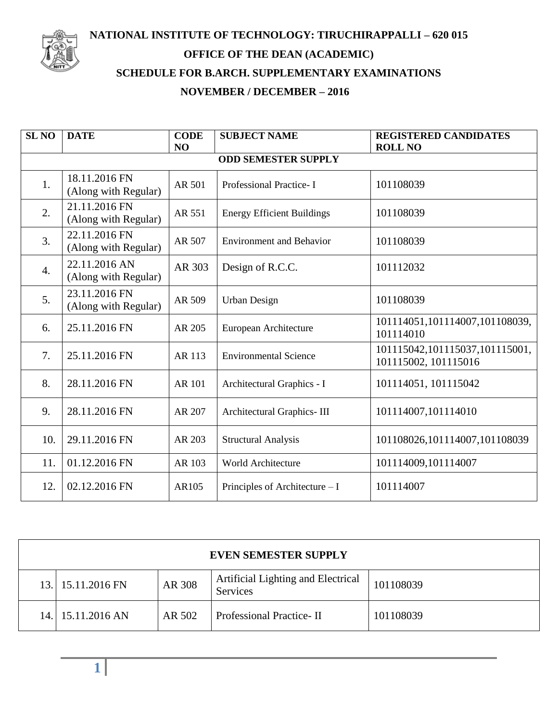

## **NATIONAL INSTITUTE OF TECHNOLOGY: TIRUCHIRAPPALLI – 620 015 OFFICE OF THE DEAN (ACADEMIC) SCHEDULE FOR B.ARCH. SUPPLEMENTARY EXAMINATIONS NOVEMBER / DECEMBER – 2016**

| <b>SL NO</b>               | <b>DATE</b>                           | <b>CODE</b><br>N <sub>O</sub> | <b>SUBJECT NAME</b>               | <b>REGISTERED CANDIDATES</b><br><b>ROLL NO</b>         |  |  |  |  |
|----------------------------|---------------------------------------|-------------------------------|-----------------------------------|--------------------------------------------------------|--|--|--|--|
| <b>ODD SEMESTER SUPPLY</b> |                                       |                               |                                   |                                                        |  |  |  |  |
| 1.                         | 18.11.2016 FN<br>(Along with Regular) | AR 501                        | Professional Practice-I           | 101108039                                              |  |  |  |  |
| 2.                         | 21.11.2016 FN<br>(Along with Regular) | AR 551                        | <b>Energy Efficient Buildings</b> | 101108039                                              |  |  |  |  |
| 3.                         | 22.11.2016 FN<br>(Along with Regular) | AR 507                        | <b>Environment and Behavior</b>   | 101108039                                              |  |  |  |  |
| $\overline{4}$ .           | 22.11.2016 AN<br>(Along with Regular) | AR 303                        | Design of R.C.C.                  | 101112032                                              |  |  |  |  |
| 5.                         | 23.11.2016 FN<br>(Along with Regular) | AR 509                        | <b>Urban Design</b>               | 101108039                                              |  |  |  |  |
| 6.                         | 25.11.2016 FN                         | AR 205                        | European Architecture             | 101114051,101114007,101108039,<br>101114010            |  |  |  |  |
| 7.                         | 25.11.2016 FN                         | AR 113                        | <b>Environmental Science</b>      | 101115042,101115037,101115001,<br>101115002, 101115016 |  |  |  |  |
| 8.                         | 28.11.2016 FN                         | <b>AR 101</b>                 | Architectural Graphics - I        | 101114051, 101115042                                   |  |  |  |  |
| 9.                         | 28.11.2016 FN                         | AR 207                        | Architectural Graphics-III        | 101114007,101114010                                    |  |  |  |  |
| 10.                        | 29.11.2016 FN                         | AR 203                        | <b>Structural Analysis</b>        | 101108026,101114007,101108039                          |  |  |  |  |
| 11.                        | 01.12.2016 FN                         | AR 103                        | <b>World Architecture</b>         | 101114009,101114007                                    |  |  |  |  |
| 12.                        | 02.12.2016 FN                         | AR105                         | Principles of Architecture – I    | 101114007                                              |  |  |  |  |

| <b>EVEN SEMESTER SUPPLY</b> |                   |        |                                                       |           |  |  |  |
|-----------------------------|-------------------|--------|-------------------------------------------------------|-----------|--|--|--|
|                             | 13. 15.11.2016 FN | AR 308 | Artificial Lighting and Electrical<br><b>Services</b> | 101108039 |  |  |  |
|                             | 14. 15.11.2016 AN | AR 502 | Professional Practice-II                              | 101108039 |  |  |  |